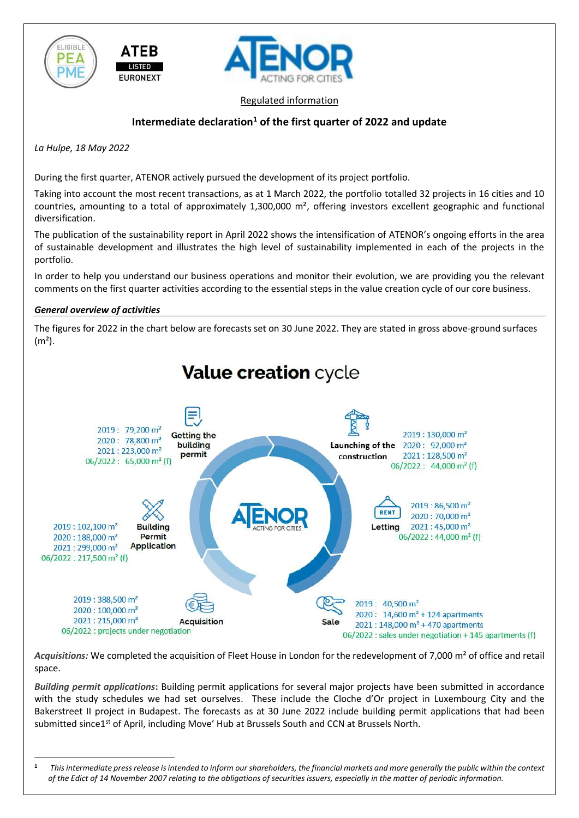





Regulated information

## **Intermediate declaration<sup>1</sup> of the first quarter of 2022 and update**

*La Hulpe, 18 May 2022*

During the first quarter, ATENOR actively pursued the development of its project portfolio.

Taking into account the most recent transactions, as at 1 March 2022, the portfolio totalled 32 projects in 16 cities and 10 countries, amounting to a total of approximately 1,300,000 m², offering investors excellent geographic and functional diversification.

The publication of the sustainability report in April 2022 shows the intensification of ATENOR's ongoing efforts in the area of sustainable development and illustrates the high level of sustainability implemented in each of the projects in the portfolio.

In order to help you understand our business operations and monitor their evolution, we are providing you the relevant comments on the first quarter activities according to the essential steps in the value creation cycle of our core business.

#### *General overview of activities*

The figures for 2022 in the chart below are forecasts set on 30 June 2022. They are stated in gross above-ground surfaces  $(m<sup>2</sup>)$ .



*Acquisitions:* We completed the acquisition of Fleet House in London for the redevelopment of 7,000 m² of office and retail space.

*Building permit applications***:** Building permit applications for several major projects have been submitted in accordance with the study schedules we had set ourselves. These include the Cloche d'Or project in Luxembourg City and the Bakerstreet II project in Budapest. The forecasts as at 30 June 2022 include building permit applications that had been submitted since1<sup>st</sup> of April, including Move' Hub at Brussels South and CCN at Brussels North.

**<sup>1</sup>** *This intermediate press release is intended to inform our shareholders, the financial markets and more generally the public within the context of the Edict of 14 November 2007 relating to the obligations of securities issuers, especially in the matter of periodic information.*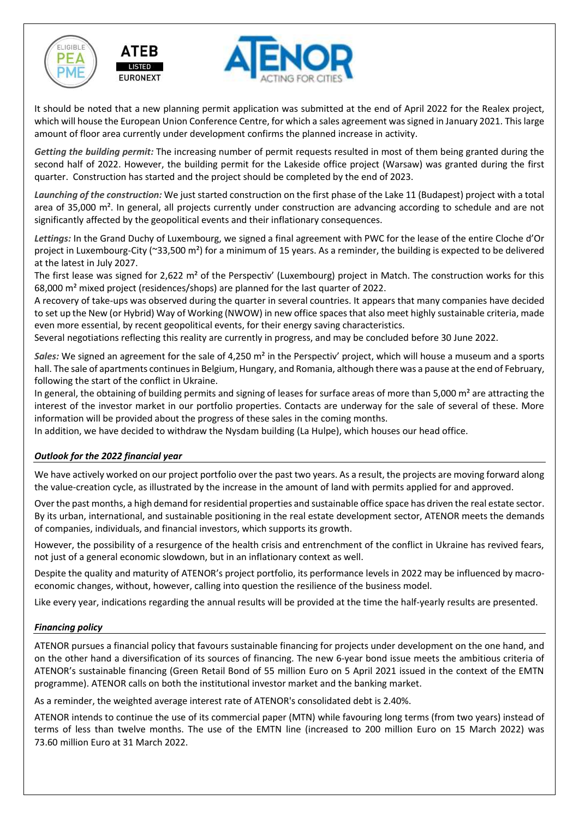





It should be noted that a new planning permit application was submitted at the end of April 2022 for the Realex project, which will house the European Union Conference Centre, for which a sales agreement was signed in January 2021. This large amount of floor area currently under development confirms the planned increase in activity.

*Getting the building permit:* The increasing number of permit requests resulted in most of them being granted during the second half of 2022. However, the building permit for the Lakeside office project (Warsaw) was granted during the first quarter. Construction has started and the project should be completed by the end of 2023.

*Launching of the construction:* We just started construction on the first phase of the Lake 11 (Budapest) project with a total area of 35,000 m<sup>2</sup>. In general, all projects currently under construction are advancing according to schedule and are not significantly affected by the geopolitical events and their inflationary consequences.

*Lettings:* In the Grand Duchy of Luxembourg, we signed a final agreement with PWC for the lease of the entire Cloche d'Or project in Luxembourg-City (~33,500 m²) for a minimum of 15 years. As a reminder, the building is expected to be delivered at the latest in July 2027.

The first lease was signed for 2,622 m² of the Perspectiv' (Luxembourg) project in Match. The construction works for this 68,000 m² mixed project (residences/shops) are planned for the last quarter of 2022.

A recovery of take-ups was observed during the quarter in several countries. It appears that many companies have decided to set up the New (or Hybrid) Way of Working (NWOW) in new office spaces that also meet highly sustainable criteria, made even more essential, by recent geopolitical events, for their energy saving characteristics.

Several negotiations reflecting this reality are currently in progress, and may be concluded before 30 June 2022.

*Sales:* We signed an agreement for the sale of 4,250 m² in the Perspectiv' project, which will house a museum and a sports hall. The sale of apartments continues in Belgium, Hungary, and Romania, although there was a pause at the end of February, following the start of the conflict in Ukraine.

In general, the obtaining of building permits and signing of leases for surface areas of more than 5,000 m<sup>2</sup> are attracting the interest of the investor market in our portfolio properties. Contacts are underway for the sale of several of these. More information will be provided about the progress of these sales in the coming months.

In addition, we have decided to withdraw the Nysdam building (La Hulpe), which houses our head office.

# *Outlook for the 2022 financial year*

We have actively worked on our project portfolio over the past two years. As a result, the projects are moving forward along the value-creation cycle, as illustrated by the increase in the amount of land with permits applied for and approved.

Over the past months, a high demand for residential properties and sustainable office space has driven the real estate sector. By its urban, international, and sustainable positioning in the real estate development sector, ATENOR meets the demands of companies, individuals, and financial investors, which supports its growth.

However, the possibility of a resurgence of the health crisis and entrenchment of the conflict in Ukraine has revived fears, not just of a general economic slowdown, but in an inflationary context as well.

Despite the quality and maturity of ATENOR's project portfolio, its performance levels in 2022 may be influenced by macroeconomic changes, without, however, calling into question the resilience of the business model.

Like every year, indications regarding the annual results will be provided at the time the half-yearly results are presented.

### *Financing policy*

ATENOR pursues a financial policy that favours sustainable financing for projects under development on the one hand, and on the other hand a diversification of its sources of financing. The new 6-year bond issue meets the ambitious criteria of ATENOR's sustainable financing (Green Retail Bond of 55 million Euro on 5 April 2021 issued in the context of the EMTN programme). ATENOR calls on both the institutional investor market and the banking market.

As a reminder, the weighted average interest rate of ATENOR's consolidated debt is 2.40%.

ATENOR intends to continue the use of its commercial paper (MTN) while favouring long terms (from two years) instead of terms of less than twelve months. The use of the EMTN line (increased to 200 million Euro on 15 March 2022) was 73.60 million Euro at 31 March 2022.